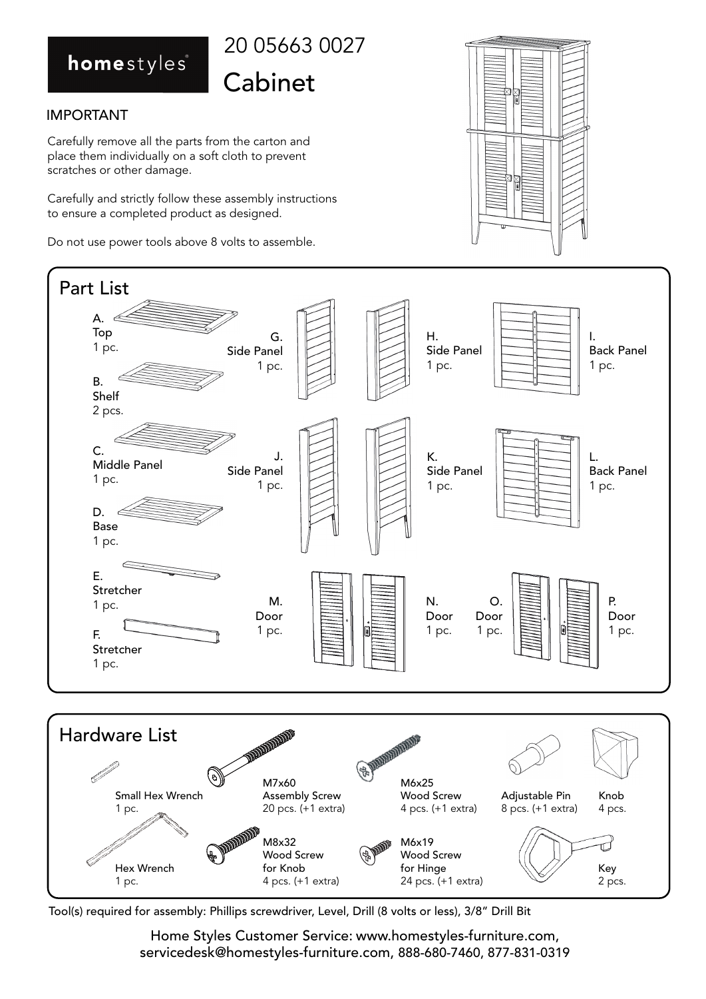## homestyles



#### IMPORTANT

Carefully remove all the parts from the carton and place them individually on a soft cloth to prevent scratches or other damage.

Carefully and strictly follow these assembly instructions to ensure a completed product as designed.

Do not use power tools above 8 volts to assemble.



Tool(s) required for assembly: Phillips screwdriver, Level, Drill (8 volts or less), 3/8" Drill Bit

Home Styles Customer Service: www.homestyles-furniture.com, servicedesk@homestyles-furniture.com, 888-680-7460, 877-831-0319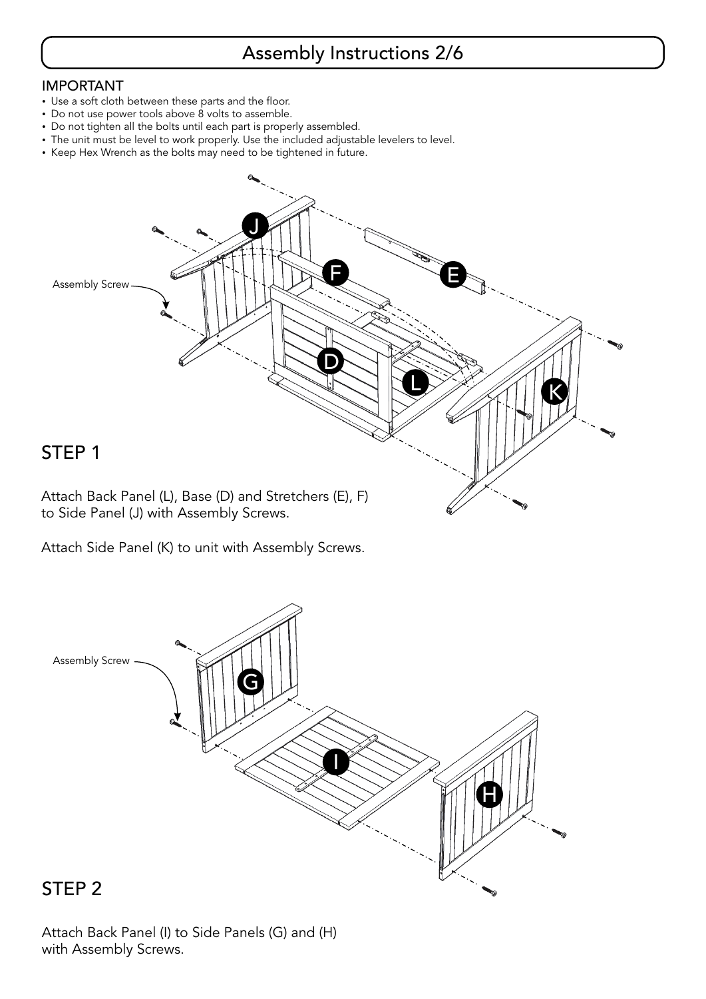## Assembly Instructions 2/6

#### IMPORTANT

- Use a soft cloth between these parts and the floor. -
- Do not use power tools above 8 volts to assemble. -
- Do not tighten all the bolts until each part is properly assembled.
- The unit must be level to work properly. Use the included adjustable levelers to level. -
- Keep Hex Wrench as the bolts may need to be tightened in future.



Attach Side Panel (K) to unit with Assembly Screws.



#### Attach Back Panel (I) to Side Panels (G) and (H) with Assembly Screws.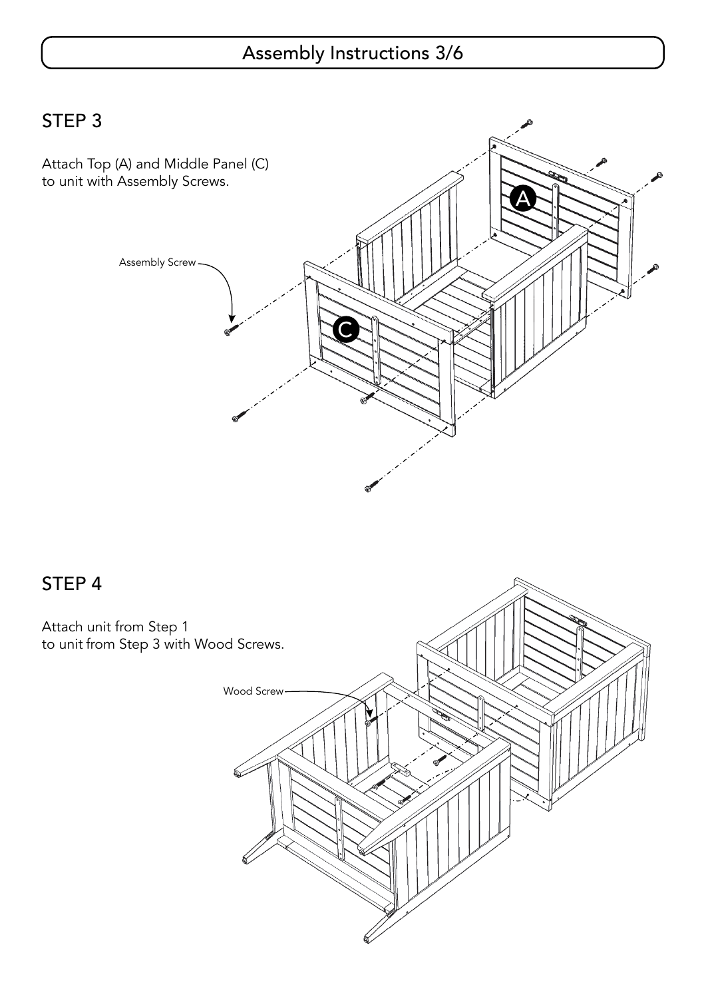## Assembly Instructions 3/6

STEP 3



## STEP 4

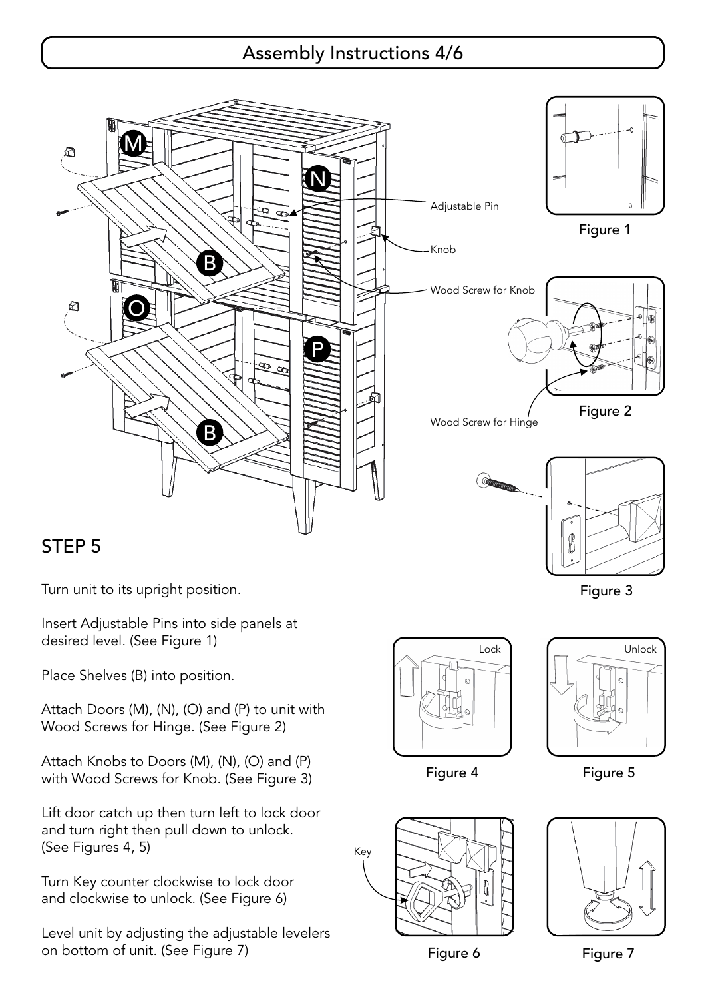## Assembly Instructions 4/6



## STEP 5

Turn unit to its upright position.

Insert Adjustable Pins into side panels at desired level. (See Figure 1)

Place Shelves (B) into position.

Attach Doors (M), (N), (O) and (P) to unit with Wood Screws for Hinge. (See Figure 2)

Attach Knobs to Doors (M), (N), (O) and (P) with Wood Screws for Knob. (See Figure 3)

Lift door catch up then turn left to lock door and turn right then pull down to unlock. (See Figures 4, 5)

Turn Key counter clockwise to lock door and clockwise to unlock. (See Figure 6)

Level unit by adjusting the adjustable levelers on bottom of unit. (See Figure 7)





Figure 4 Figure 5



Figure 6 Figure 7

Figure 3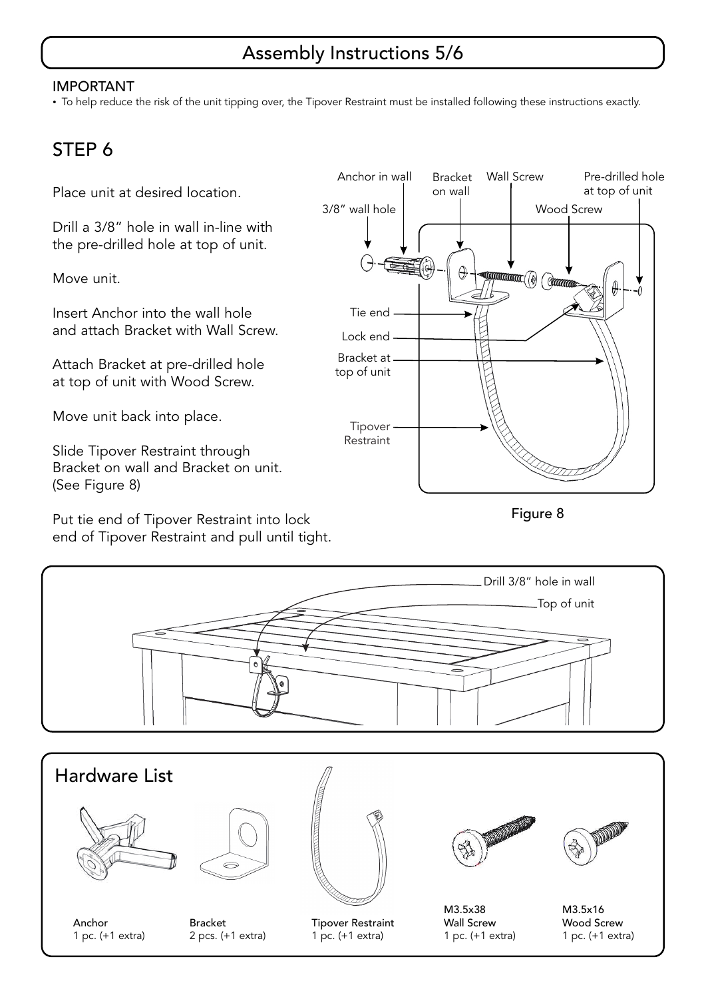## Assembly Instructions 5/6

#### IMPORTANT

- To help reduce the risk of the unit tipping over, the Tipover Restraint must be installed following these instructions exactly.

## STEP 6

Place unit at desired location.

Drill a 3/8" hole in wall in-line with the pre-drilled hole at top of unit.

Move unit.

Insert Anchor into the wall hole and attach Bracket with Wall Screw.

Attach Bracket at pre-drilled hole at top of unit with Wood Screw.

Move unit back into place.

Slide Tipover Restraint through Bracket on wall and Bracket on unit. (See Figure 8)

Put tie end of Tipover Restraint into lock end of Tipover Restraint and pull until tight.



Figure 8

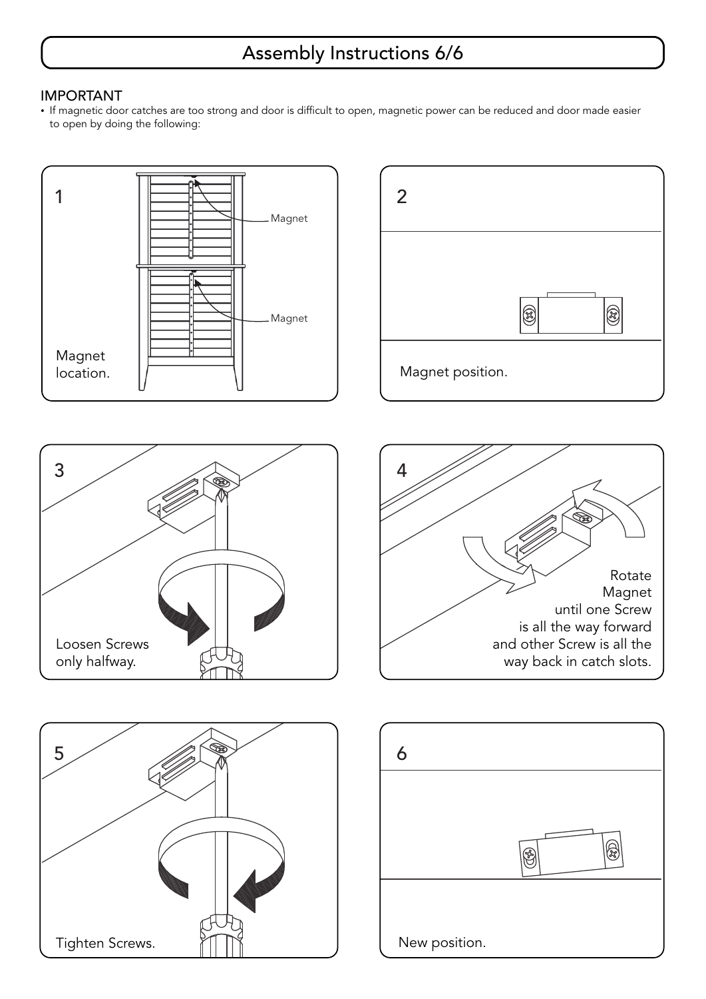## Assembly Instructions 6/6

#### IMPORTANT

- If magnetic door catches are too strong and door is difficult to open, magnetic power can be reduced and door made easier to open by doing the following: